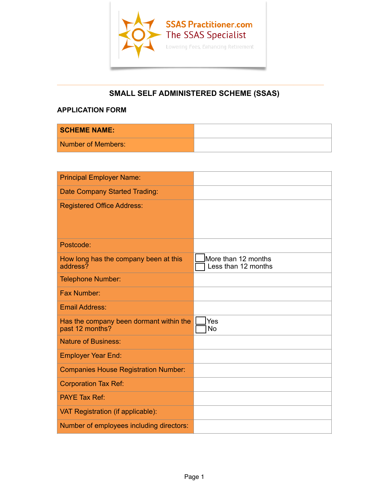

### $\overline{\phantom{a}}$  , and the contract of the contract of the contract of  $\overline{\phantom{a}}$ **SMALL SELF ADMINISTERED SCHEME (SSAS)**

# **APPLICATION FORM**

| <b>SCHEME NAME:</b> |  |
|---------------------|--|
| Number of Members:  |  |

| <b>Principal Employer Name:</b>                            |                                            |
|------------------------------------------------------------|--------------------------------------------|
| Date Company Started Trading:                              |                                            |
| <b>Registered Office Address:</b>                          |                                            |
| Postcode:                                                  |                                            |
| How long has the company been at this<br>address?          | More than 12 months<br>Less than 12 months |
| <b>Telephone Number:</b>                                   |                                            |
| Fax Number:                                                |                                            |
| <b>Email Address:</b>                                      |                                            |
| Has the company been dormant within the<br>past 12 months? | Yes<br>No                                  |
| <b>Nature of Business:</b>                                 |                                            |
| <b>Employer Year End:</b>                                  |                                            |
| <b>Companies House Registration Number:</b>                |                                            |
| <b>Corporation Tax Ref:</b>                                |                                            |
| <b>PAYE Tax Ref:</b>                                       |                                            |
| VAT Registration (if applicable):                          |                                            |
| Number of employees including directors:                   |                                            |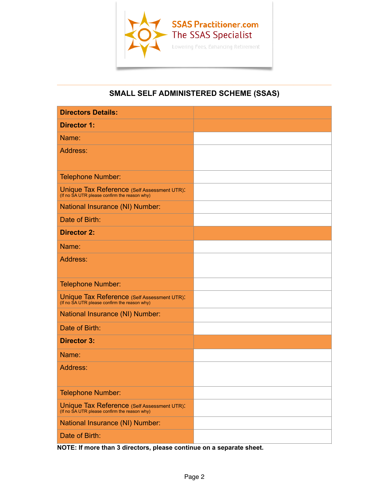

## $\overline{\phantom{a}}$  , and the contract of the contract of the contract of the contract of the contract of the contract of the contract of the contract of the contract of the contract of the contract of the contract of the contrac **SMALL SELF ADMINISTERED SCHEME (SSAS)**

| <b>Directors Details:</b>                                                                   |  |
|---------------------------------------------------------------------------------------------|--|
| <b>Director 1:</b>                                                                          |  |
| Name:                                                                                       |  |
| Address:                                                                                    |  |
| <b>Telephone Number:</b>                                                                    |  |
| Unique Tax Reference (Self Assessment UTR):<br>(If no SA UTR please confirm the reason why) |  |
| National Insurance (NI) Number:                                                             |  |
| Date of Birth:                                                                              |  |
| <b>Director 2:</b>                                                                          |  |
| Name:                                                                                       |  |
| Address:                                                                                    |  |
| <b>Telephone Number:</b>                                                                    |  |
| Unique Tax Reference (Self Assessment UTR):<br>(If no SA UTR please confirm the reason why) |  |
| National Insurance (NI) Number:                                                             |  |
| Date of Birth:                                                                              |  |
| <b>Director 3:</b>                                                                          |  |
| Name:                                                                                       |  |
| Address:                                                                                    |  |
| Telephone Number:                                                                           |  |
| Unique Tax Reference (Self Assessment UTR):<br>(If no SA UTR please confirm the reason why) |  |
| National Insurance (NI) Number:                                                             |  |
| Date of Birth:                                                                              |  |

**NOTE: If more than 3 directors, please continue on a separate sheet.**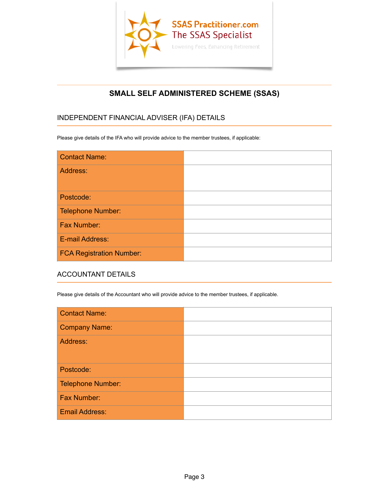

## $\overline{\phantom{a}}$  , and the contract of the contract of the contract of the contract of the contract of the contract of the contract of the contract of the contract of the contract of the contract of the contract of the contrac **SMALL SELF ADMINISTERED SCHEME (SSAS)**

# INDEPENDENT FINANCIAL ADVISER (IFA) DETAILS

Please give details of the IFA who will provide advice to the member trustees, if applicable:

| <b>Contact Name:</b>            |  |
|---------------------------------|--|
| Address:                        |  |
| Postcode:                       |  |
| Telephone Number:               |  |
| Fax Number:                     |  |
| E-mail Address:                 |  |
| <b>FCA Registration Number:</b> |  |

#### ACCOUNTANT DETAILS

Please give details of the Accountant who will provide advice to the member trustees, if applicable.

| <b>Contact Name:</b>     |  |
|--------------------------|--|
| <b>Company Name:</b>     |  |
| Address:                 |  |
| Postcode:                |  |
| <b>Telephone Number:</b> |  |
| Fax Number:              |  |
| <b>Email Address:</b>    |  |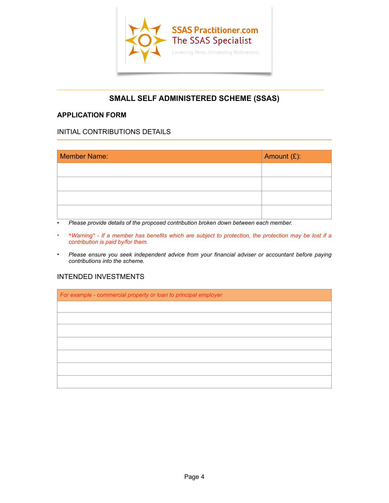

## $\overline{\phantom{a}}$  , and the contract of the contract of the contract of  $\overline{\phantom{a}}$ **SMALL SELF ADMINISTERED SCHEME (SSAS)**

#### **APPLICATION FORM**

#### INITIAL CONTRIBUTIONS DETAILS

| <b>Member Name:</b> | Amount (£): |
|---------------------|-------------|
|                     |             |
|                     |             |
|                     |             |
|                     |             |

• *Please provide details of the proposed contribution broken down between each member.*

- \**Warning\* If a member has benefits which are subject to protection, the protection may be lost if a contribution is paid by/for them.*
- *Please ensure you seek independent advice from your financial adviser or accountant before paying contributions into the scheme.*

# INTENDED INVESTMENTS

*For example - commercial property or loan to principal employer*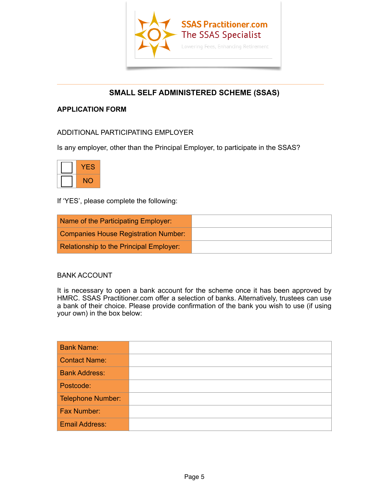

## $\overline{\phantom{a}}$  , and the contract of the contract of the contract of  $\overline{\phantom{a}}$ **SMALL SELF ADMINISTERED SCHEME (SSAS)**

## **APPLICATION FORM**

## ADDITIONAL PARTICIPATING EMPLOYER

Is any employer, other than the Principal Employer, to participate in the SSAS?

| -5        |
|-----------|
| <b>NO</b> |

If 'YES', please complete the following:

| Name of the Participating Employer:     |  |
|-----------------------------------------|--|
| Companies House Registration Number:    |  |
| Relationship to the Principal Employer: |  |

#### BANK ACCOUNT

It is necessary to open a bank account for the scheme once it has been approved by HMRC. SSAS Practitioner.com offer a selection of banks. Alternatively, trustees can use a bank of their choice. Please provide confirmation of the bank you wish to use (if using your own) in the box below:

| <b>Bank Name:</b>     |  |
|-----------------------|--|
| <b>Contact Name:</b>  |  |
| <b>Bank Address:</b>  |  |
| Postcode:             |  |
| Telephone Number:     |  |
| <b>Fax Number:</b>    |  |
| <b>Email Address:</b> |  |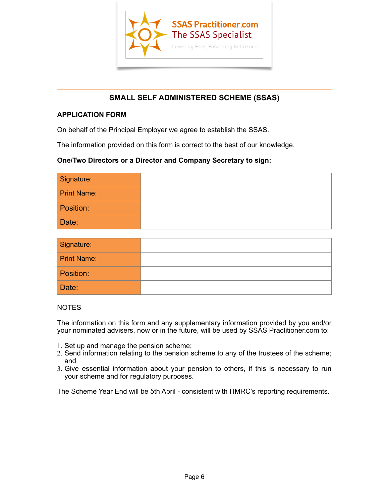

## $\overline{\phantom{a}}$  , and the contract of the contract of  $\overline{\phantom{a}}$  ,  $\overline{\phantom{a}}$  ,  $\overline{\phantom{a}}$  ,  $\overline{\phantom{a}}$  ,  $\overline{\phantom{a}}$  ,  $\overline{\phantom{a}}$  ,  $\overline{\phantom{a}}$  ,  $\overline{\phantom{a}}$  ,  $\overline{\phantom{a}}$  ,  $\overline{\phantom{a}}$  ,  $\overline{\phantom{a}}$  ,  $\overline{\phantom{a}}$  ,  $\over$ **SMALL SELF ADMINISTERED SCHEME (SSAS)**

## **APPLICATION FORM**

On behalf of the Principal Employer we agree to establish the SSAS.

The information provided on this form is correct to the best of our knowledge.

#### **One/Two Directors or a Director and Company Secretary to sign:**

| Signature:         |  |
|--------------------|--|
| <b>Print Name:</b> |  |
| Position:          |  |
| Date:              |  |

| Signature:         |  |
|--------------------|--|
| <b>Print Name:</b> |  |
| Position:          |  |
| Date:              |  |

#### **NOTES**

The information on this form and any supplementary information provided by you and/or your nominated advisers, now or in the future, will be used by SSAS Practitioner.com to:

- 1. Set up and manage the pension scheme;
- 2. Send information relating to the pension scheme to any of the trustees of the scheme; and
- 3. Give essential information about your pension to others, if this is necessary to run your scheme and for regulatory purposes.

The Scheme Year End will be 5th April - consistent with HMRC's reporting requirements.